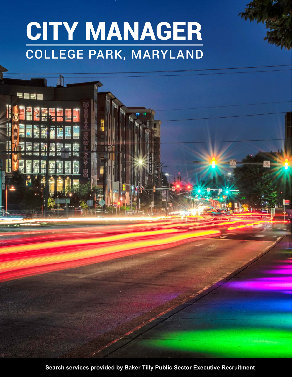# CITY MANAGER COLLEGE PARK, MARYLAND

**Search services provided by Baker Tilly Public Sector Executive Recruitment**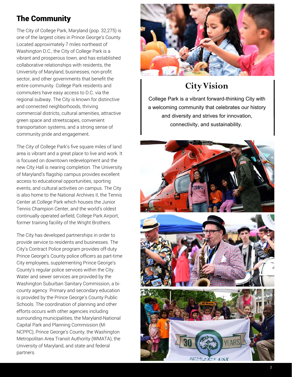# The Community

The City of College Park, Maryland (pop. 32,275) is one of the largest cities in Prince George's County. Located approximately 7 miles northeast of Washington D.C., the City of College Park is a vibrant and prosperous town, and has established collaborative relationships with residents, the University of Maryland, businesses, non-profit sector, and other governments that benefit the entire community. College Park residents and commuters have easy access to D.C. via the regional subway. The City is known for distinctive and connected neighborhoods, thriving commercial districts, cultural amenities, attractive green space and streetscapes, convenient transportation systems, and a strong sense of community pride and engagement.

The City of College Park's five square miles of land area is vibrant and a great place to live and work. It is focused on downtown redevelopment and the new City Hall is nearing completion. The University of Maryland's flagship campus provides excellent access to educational opportunities, sporting events, and cultural activities on campus. The City is also home to the National Archives II, the Tennis Center at College Park which houses the Junior Tennis Champion Center, and the world's oldest continually operated airfield, College Park Airport, former training facility of the Wright Brothers.

The City has developed partnerships in order to provide service to residents and businesses. The City's Contract Police program provides off-duty Prince George's County police officers as part-time City employees, supplementing Prince George's County's regular police services within the City. Water and sewer services are provided by the Washington Suburban Sanitary Commission, a bicounty agency. Primary and secondary education is provided by the Prince George's County Public Schools. The coordination of planning and other efforts occurs with other agencies including surrounding municipalities, the Maryland-National Capital Park and Planning Commission (M-NCPPC), Prince George's County, the Washington Metropolitan Area Transit Authority (WMATA), the University of Maryland, and state and federal partners.



# **City Vision**

College Park is a vibrant forward-thinking City with a welcoming community that celebrates our history and diversity and strives for innovation, connectivity, and sustainability.

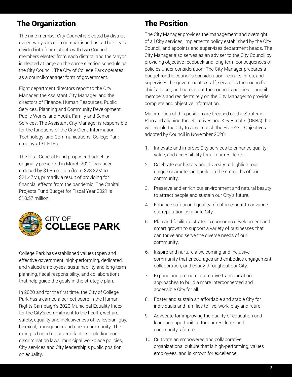# The Organization

The nine-member City Council is elected by district every two years on a non-partisan basis. The City is divided into four districts with two Council members elected from each district, and the Mayor is elected at large on the same election schedule as the City Council. The City of College Park operates as a council-manager form of government.

Eight department directors report to the City Manager: the Assistant City Manager, and the directors of Finance, Human Resources, Public Services, Planning and Community Development, Public Works, and Youth, Family and Senior Services. The Assistant City Manager is responsible for the functions of the City Clerk, Information Technology, and Communications. College Park employs 131 FTEs.

The total General Fund proposed budget, as originally presented in March 2020, has been reduced by \$1.85 million (from \$23.32M to \$21.47M), primarily a result of providing for financial effects from the pandemic. The Capital Projects Fund Budget for Fiscal Year 2021 is \$18.57 million.



College Park has established values (open and effective government, high-performing, dedicated, and valued employees, sustainability and long-term planning, fiscal responsibility, and collaboration) that help guide the goals in the strategic plan.

In 2020 and for the first time, the City of College Park has a earned a perfect score in the Human Rights Campaign's 2020 Municipal Equality Index for the City's commitment to the health, welfare, safety, equality and inclusiveness of its lesbian, gay, bisexual, transgender and queer community. The rating is based on several factors including nondiscrimination laws, municipal workplace policies, City services and City leadership's public position on equality.

# The Position

The City Manager provides the management and oversight of all City services, implements policy established by the City Council, and appoints and supervises department heads. The City Manager also serves as an adviser to the City Council by providing objective feedback and long term consequences of policies under consideration. The City Manager prepares a budget for the council's consideration; recruits, hires, and supervises the government's staff; serves as the council's chief adviser; and carries out the council's policies. Council members and residents rely on the City Manager to provide complete and objective information.

Major duties of this position are focused on the Strategic Plan and aligning the Objectives and Key Results (OKRs) that will enable the City to accomplish the Five-Year Objectives adopted by Council in November 2020:

- 1. Innovate and improve City services to enhance quality, value, and accessibility for all our residents.
- 2. Celebrate our history and diversity to highlight our unique character and build on the strengths of our community.
- 3. Preserve and enrich our environment and natural beauty to attract people and sustain our City's future.
- 4. Enhance safety and quality of enforcement to advance our reputation as a safe City.
- 5. Plan and facilitate strategic economic development and smart growth to support a variety of businesses that can thrive and serve the diverse needs of our community.
- 6. Inspire and nurture a welcoming and inclusive community that encourages and embodies engagement, collaboration, and equity throughout our City.
- 7. Expand and promote alternative transportation approaches to build a more interconnected and accessible City for all.
- 8. Foster and sustain an affordable and stable City for individuals and families to live, work, play and retire.
- 9. Advocate for improving the quality of education and learning opportunities for our residents and community's future.
- 10. Cultivate an empowered and collaborative organizational culture that is high-performing, values employees, and is known for excellence.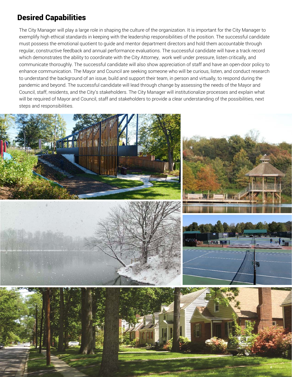# Desired Capabilities

The City Manager will play a large role in shaping the culture of the organization. It is important for the City Manager to exemplify high ethical standards in keeping with the leadership responsibilities of the position. The successful candidate must possess the emotional quotient to guide and mentor department directors and hold them accountable through regular, constructive feedback and annual performance evaluations. The successful candidate will have a track record which demonstrates the ability to coordinate with the City Attorney, work well under pressure, listen critically, and communicate thoroughly. The successful candidate will also show appreciation of staff and have an open-door policy to enhance communication. The Mayor and Council are seeking someone who will be curious, listen, and conduct research to understand the background of an issue, build and support their team, in person and virtually, to respond during the pandemic and beyond. The successful candidate will lead through change by assessing the needs of the Mayor and Council, staff, residents, and the City's stakeholders. The City Manager will institutionalize processes and explain what will be required of Mayor and Council, staff and stakeholders to provide a clear understanding of the possibilities, next steps and responsibilities.









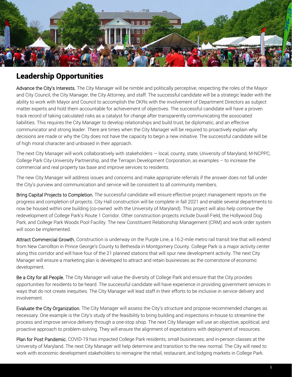

#### Leadership Opportunities

Advance the City's Interests. The City Manager will be nimble and politically perceptive, respecting the roles of the Mayor and City Council, the City Manager, the City Attorney, and staff. The successful candidate will be a strategic leader with the ability to work with Mayor and Council to accomplish the OKRs with the involvement of Department Directors as subject matter experts and hold them accountable for achievement of objectives. The successful candidate will have a proven track record of taking calculated risks as a catalyst for change after transparently communicating the associated liabilities. This requires the City Manager to develop relationships and build trust, be diplomatic, and an effective communicator and strong leader. There are times when the City Manager will be required to proactively explain why decisions are made or why the City does not have the capacity to begin a new initiative. The successful candidate will be of high moral character and unbiased in their approach.

The next City Manager will work collaboratively with stakeholders — local, county, state, University of Maryland, M-NCPPC, College Park City-University Partnership, and the Terrapin Development Corporation, as examples – to increase the commercial and real property tax base and improve services to residents.

The new City Manager will address issues and concerns and make appropriate referrals if the answer does not fall under the City's purview and communication and service will be consistent to all community members.

Bring Capital Projects to Completion. The successful candidate will ensure effective project management reports on the progress and completion of projects. City Hall construction will be complete in fall 2021 and enable several departments to now be housed within one building (co-owned with the University of Maryland). This project will also help continue the redevelopment of College Park's Route 1 Corridor. Other construction projects include Duvall Field, the Hollywood Dog Park, and College Park Woods Pool Facility. The new Constituent Relationship Management (CRM) and work order system will soon be implemented.

Attract Commercial Growth. Construction is underway on the Purple Line, a 16.2-mile metro rail transit line that will extend from New Carrollton in Prince George's County to Bethesda in Montgomery County. College Park is a major activity center along this corridor and will have four of the 21 planned stations that will spur new development activity. The next City Manager will ensure a marketing plan is developed to attract and retain businesses as the cornerstone of economic development.

Be a City for all People. The City Manager will value the diversity of College Park and ensure that the City provides opportunities for residents to be heard. The successful candidate will have experience in providing government services in ways that do not create inequities. The City Manager will lead staff in their efforts to be inclusive in service delivery and involvement.

Evaluate the City Organization. The City Manager will assess the City's structure and propose recommended changes as necessary. One example is the City's study of the feasibility to bring building and inspections in-house to streamline the process and improve service delivery through a one-stop shop. The next City Manager will use an objective, apolitical, and proactive approach to problem-solving. They will ensure the alignment of expectations with deployment of resources.

Plan for Post Pandemic. COVID-19 has impacted College Park residents, small businesses, and in-person classes at the University of Maryland. The next City Manager will help determine and transition to the new normal. The City will need to work with economic development stakeholders to reimagine the retail, restaurant, and lodging markets in College Park.